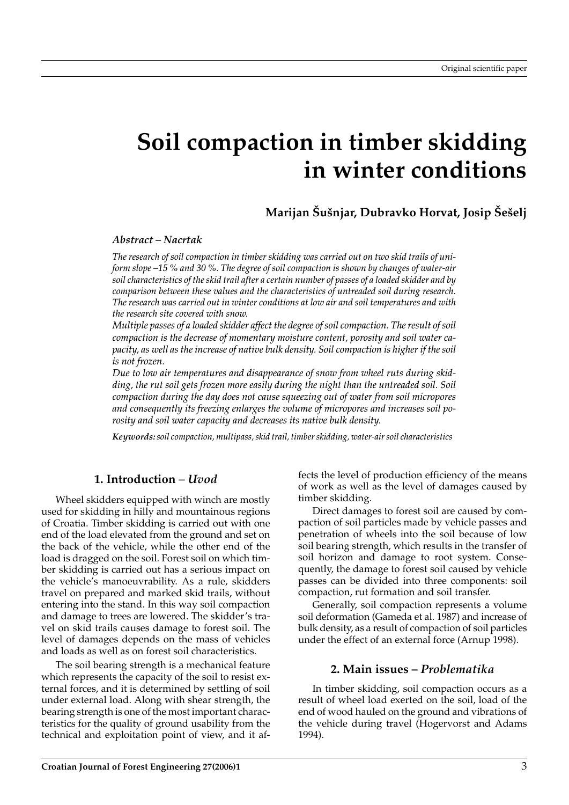# **Soil compaction in timber skidding in winter conditions**

## Marijan Šušnjar, Dubravko Horvat, Josip Šešelj

#### *Abstract – Nacrtak*

*The research of soil compaction in timber skidding was carried out on two skid trails of uniform slope –15 % and 30 %. The degree of soil compaction is shown by changes of water-air soil characteristics of the skid trail after a certain number of passes of a loaded skidder and by comparison between these values and the characteristics of untreaded soil during research. The research was carried out in winter conditions at low air and soil temperatures and with the research site covered with snow.*

*Multiple passes of a loaded skidder affect the degree of soil compaction. The result of soil compaction is the decrease of momentary moisture content, porosity and soil water capacity, as well as the increase of native bulk density. Soil compaction is higher if the soil is not frozen.*

*Due to low air temperatures and disappearance of snow from wheel ruts during skidding, the rut soil gets frozen more easily during the night than the untreaded soil. Soil compaction during the day does not cause squeezing out of water from soil micropores and consequently its freezing enlarges the volume of micropores and increases soil porosity and soil water capacity and decreases its native bulk density.*

*Keywords:soil compaction, multipass, skid trail, timber skidding, water-air soil characteristics*

## **1. Introduction** *– Uvod*

Wheel skidders equipped with winch are mostly used for skidding in hilly and mountainous regions of Croatia. Timber skidding is carried out with one end of the load elevated from the ground and set on the back of the vehicle, while the other end of the load is dragged on the soil. Forest soil on which timber skidding is carried out has a serious impact on the vehicle's manoeuvrability. As a rule, skidders travel on prepared and marked skid trails, without entering into the stand. In this way soil compaction and damage to trees are lowered. The skidder's travel on skid trails causes damage to forest soil. The level of damages depends on the mass of vehicles and loads as well as on forest soil characteristics.

The soil bearing strength is a mechanical feature which represents the capacity of the soil to resist external forces, and it is determined by settling of soil under external load. Along with shear strength, the bearing strength is one of the most important characteristics for the quality of ground usability from the technical and exploitation point of view, and it affects the level of production efficiency of the means of work as well as the level of damages caused by timber skidding.

Direct damages to forest soil are caused by compaction of soil particles made by vehicle passes and penetration of wheels into the soil because of low soil bearing strength, which results in the transfer of soil horizon and damage to root system. Consequently, the damage to forest soil caused by vehicle passes can be divided into three components: soil compaction, rut formation and soil transfer.

Generally, soil compaction represents a volume soil deformation (Gameda et al. 1987) and increase of bulk density, as a result of compaction of soil particles under the effect of an external force (Arnup 1998).

#### **2. Main issues –** *Problematika*

In timber skidding, soil compaction occurs as a result of wheel load exerted on the soil, load of the end of wood hauled on the ground and vibrations of the vehicle during travel (Hogervorst and Adams 1994).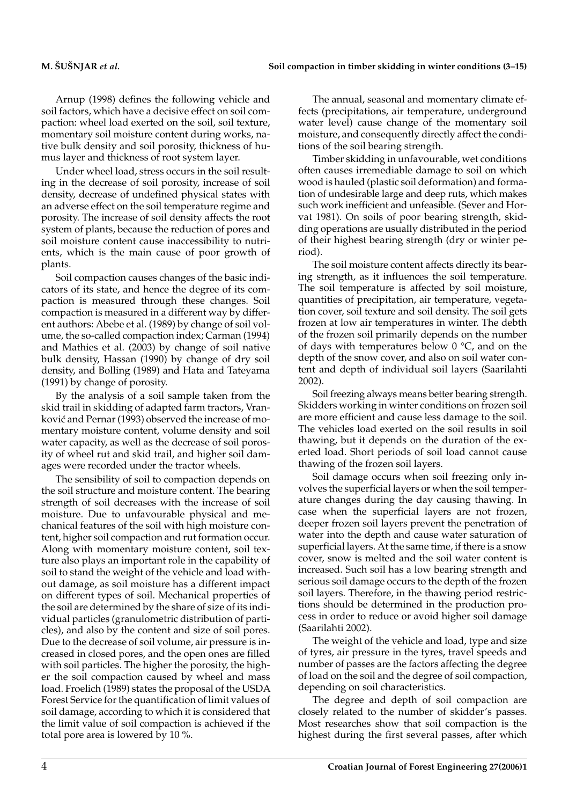Arnup (1998) defines the following vehicle and soil factors, which have a decisive effect on soil compaction: wheel load exerted on the soil, soil texture, momentary soil moisture content during works, native bulk density and soil porosity, thickness of humus layer and thickness of root system layer.

Under wheel load, stress occurs in the soil resulting in the decrease of soil porosity, increase of soil density, decrease of undefined physical states with an adverse effect on the soil temperature regime and porosity. The increase of soil density affects the root system of plants, because the reduction of pores and soil moisture content cause inaccessibility to nutrients, which is the main cause of poor growth of plants.

Soil compaction causes changes of the basic indicators of its state, and hence the degree of its compaction is measured through these changes. Soil compaction is measured in a different way by different authors: Abebe et al. (1989) by change of soil volume, the so-called compaction index; Carman (1994) and Mathies et al. (2003) by change of soil native bulk density, Hassan (1990) by change of dry soil density, and Bolling (1989) and Hata and Tateyama (1991) by change of porosity.

By the analysis of a soil sample taken from the skid trail in skidding of adapted farm tractors, Vranković and Pernar (1993) observed the increase of momentary moisture content, volume density and soil water capacity, as well as the decrease of soil porosity of wheel rut and skid trail, and higher soil damages were recorded under the tractor wheels.

The sensibility of soil to compaction depends on the soil structure and moisture content. The bearing strength of soil decreases with the increase of soil moisture. Due to unfavourable physical and mechanical features of the soil with high moisture content, higher soil compaction and rut formation occur. Along with momentary moisture content, soil texture also plays an important role in the capability of soil to stand the weight of the vehicle and load without damage, as soil moisture has a different impact on different types of soil. Mechanical properties of the soil are determined by the share of size of its individual particles (granulometric distribution of particles), and also by the content and size of soil pores. Due to the decrease of soil volume, air pressure is increased in closed pores, and the open ones are filled with soil particles. The higher the porosity, the higher the soil compaction caused by wheel and mass load. Froelich (1989) states the proposal of the USDA Forest Service for the quantification of limit values of soil damage, according to which it is considered that the limit value of soil compaction is achieved if the total pore area is lowered by 10 %.

The annual, seasonal and momentary climate effects (precipitations, air temperature, underground water level) cause change of the momentary soil moisture, and consequently directly affect the conditions of the soil bearing strength.

Timber skidding in unfavourable, wet conditions often causes irremediable damage to soil on which wood is hauled (plastic soil deformation) and formation of undesirable large and deep ruts, which makes such work inefficient and unfeasible. (Sever and Horvat 1981). On soils of poor bearing strength, skidding operations are usually distributed in the period of their highest bearing strength (dry or winter period).

The soil moisture content affects directly its bearing strength, as it influences the soil temperature. The soil temperature is affected by soil moisture, quantities of precipitation, air temperature, vegetation cover, soil texture and soil density. The soil gets frozen at low air temperatures in winter. The debth of the frozen soil primarily depends on the number of days with temperatures below  $0^{\circ}C$ , and on the depth of the snow cover, and also on soil water content and depth of individual soil layers (Saarilahti 2002).

Soil freezing always means better bearing strength. Skidders working in winter conditions on frozen soil are more efficient and cause less damage to the soil. The vehicles load exerted on the soil results in soil thawing, but it depends on the duration of the exerted load. Short periods of soil load cannot cause thawing of the frozen soil layers.

Soil damage occurs when soil freezing only involves the superficial layers or when the soil temperature changes during the day causing thawing. In case when the superficial layers are not frozen, deeper frozen soil layers prevent the penetration of water into the depth and cause water saturation of superficial layers. At the same time, if there is a snow cover, snow is melted and the soil water content is increased. Such soil has a low bearing strength and serious soil damage occurs to the depth of the frozen soil layers. Therefore, in the thawing period restrictions should be determined in the production process in order to reduce or avoid higher soil damage (Saarilahti 2002).

The weight of the vehicle and load, type and size of tyres, air pressure in the tyres, travel speeds and number of passes are the factors affecting the degree of load on the soil and the degree of soil compaction, depending on soil characteristics.

The degree and depth of soil compaction are closely related to the number of skidder's passes. Most researches show that soil compaction is the highest during the first several passes, after which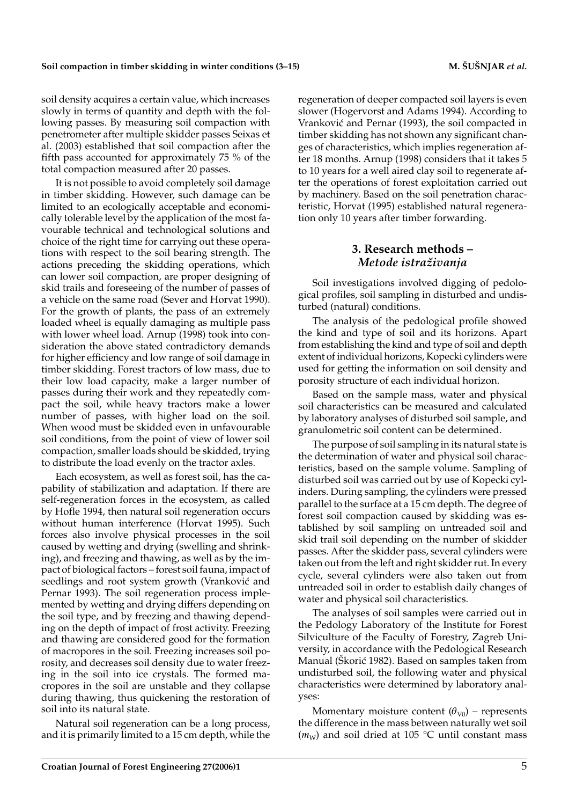soil density acquires a certain value, which increases slowly in terms of quantity and depth with the following passes. By measuring soil compaction with penetrometer after multiple skidder passes Seixas et al. (2003) established that soil compaction after the fifth pass accounted for approximately 75 % of the total compaction measured after 20 passes.

It is not possible to avoid completely soil damage in timber skidding. However, such damage can be limited to an ecologically acceptable and economically tolerable level by the application of the most favourable technical and technological solutions and choice of the right time for carrying out these operations with respect to the soil bearing strength. The actions preceding the skidding operations, which can lower soil compaction, are proper designing of skid trails and foreseeing of the number of passes of a vehicle on the same road (Sever and Horvat 1990). For the growth of plants, the pass of an extremely loaded wheel is equally damaging as multiple pass with lower wheel load. Arnup (1998) took into consideration the above stated contradictory demands for higher efficiency and low range of soil damage in timber skidding. Forest tractors of low mass, due to their low load capacity, make a larger number of passes during their work and they repeatedly compact the soil, while heavy tractors make a lower number of passes, with higher load on the soil. When wood must be skidded even in unfavourable soil conditions, from the point of view of lower soil compaction, smaller loads should be skidded, trying to distribute the load evenly on the tractor axles.

Each ecosystem, as well as forest soil, has the capability of stabilization and adaptation. If there are self-regeneration forces in the ecosystem, as called by Hofle 1994, then natural soil regeneration occurs without human interference (Horvat 1995). Such forces also involve physical processes in the soil caused by wetting and drying (swelling and shrinking), and freezing and thawing, as well as by the impact of biological factors – forest soil fauna, impact of seedlings and root system growth (Vranković and Pernar 1993). The soil regeneration process implemented by wetting and drying differs depending on the soil type, and by freezing and thawing depending on the depth of impact of frost activity. Freezing and thawing are considered good for the formation of macropores in the soil. Freezing increases soil porosity, and decreases soil density due to water freezing in the soil into ice crystals. The formed macropores in the soil are unstable and they collapse during thawing, thus quickening the restoration of soil into its natural state.

Natural soil regeneration can be a long process, and it is primarily limited to a 15 cm depth, while the regeneration of deeper compacted soil layers is even slower (Hogervorst and Adams 1994). According to Vranković and Pernar (1993), the soil compacted in timber skidding has not shown any significant changes of characteristics, which implies regeneration after 18 months. Arnup (1998) considers that it takes 5 to 10 years for a well aired clay soil to regenerate after the operations of forest exploitation carried out by machinery. Based on the soil penetration characteristic, Horvat (1995) established natural regeneration only 10 years after timber forwarding.

## **3. Research methods –** *Metode istra`ivanja*

Soil investigations involved digging of pedological profiles, soil sampling in disturbed and undisturbed (natural) conditions.

The analysis of the pedological profile showed the kind and type of soil and its horizons. Apart from establishing the kind and type of soil and depth extent of individual horizons, Kopecki cylinders were used for getting the information on soil density and porosity structure of each individual horizon.

Based on the sample mass, water and physical soil characteristics can be measured and calculated by laboratory analyses of disturbed soil sample, and granulometric soil content can be determined.

The purpose of soil sampling in its natural state is the determination of water and physical soil characteristics, based on the sample volume. Sampling of disturbed soil was carried out by use of Kopecki cylinders. During sampling, the cylinders were pressed parallel to the surface at a 15 cm depth. The degree of forest soil compaction caused by skidding was established by soil sampling on untreaded soil and skid trail soil depending on the number of skidder passes. After the skidder pass, several cylinders were taken out from the left and right skidder rut. In every cycle, several cylinders were also taken out from untreaded soil in order to establish daily changes of water and physical soil characteristics.

The analyses of soil samples were carried out in the Pedology Laboratory of the Institute for Forest Silviculture of the Faculty of Forestry, Zagreb University, in accordance with the Pedological Research Manual (Škorić 1982). Based on samples taken from undisturbed soil, the following water and physical characteristics were determined by laboratory analyses:

Momentary moisture content  $(\theta_{V0})$  – represents the difference in the mass between naturally wet soil  $(m_W)$  and soil dried at 105 °C until constant mass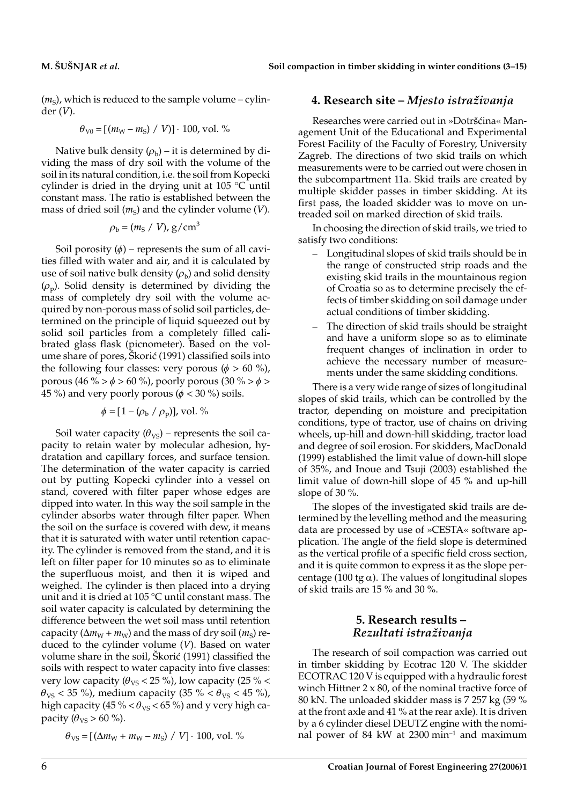$(m<sub>S</sub>)$ , which is reduced to the sample volume – cylinder (*V*).

$$
\theta_{\rm V0} = [(m_{\rm W} - m_{\rm S}) / V] \cdot 100
$$
, vol. %

Native bulk density  $(\rho_b)$  – it is determined by dividing the mass of dry soil with the volume of the soil in its natural condition, i.e. the soil from Kopecki cylinder is dried in the drying unit at 105 °C until constant mass. The ratio is established between the mass of dried soil  $(m<sub>S</sub>)$  and the cylinder volume (*V*).

$$
\rho_{\rm b} = (m_{\rm S} / V), g / \rm cm^3
$$

Soil porosity  $(\phi)$  – represents the sum of all cavities filled with water and air, and it is calculated by use of soil native bulk density  $(\rho_b)$  and solid density  $(\rho_n)$ . Solid density is determined by dividing the mass of completely dry soil with the volume acquired by non-porous mass of solid soil particles, determined on the principle of liquid squeezed out by solid soil particles from a completely filled calibrated glass flask (picnometer). Based on the volume share of pores, Škorić (1991) classified soils into the following four classes: very porous  $(\phi > 60 \%)$ , porous (46 % >  $\phi$  > 60 %), poorly porous (30 % >  $\phi$  > 45 %) and very poorly porous ( $\phi$  < 30 %) soils.

$$
\phi = [1 - (\rho_b / \rho_p)], \text{vol.}
$$
 %

Soil water capacity  $(\theta_{VS})$  – represents the soil capacity to retain water by molecular adhesion, hydratation and capillary forces, and surface tension. The determination of the water capacity is carried out by putting Kopecki cylinder into a vessel on stand, covered with filter paper whose edges are dipped into water. In this way the soil sample in the cylinder absorbs water through filter paper. When the soil on the surface is covered with dew, it means that it is saturated with water until retention capacity. The cylinder is removed from the stand, and it is left on filter paper for 10 minutes so as to eliminate the superfluous moist, and then it is wiped and weighed. The cylinder is then placed into a drying unit and it is dried at 105 °C until constant mass. The soil water capacity is calculated by determining the difference between the wet soil mass until retention capacity  $(\Delta m_W + m_W)$  and the mass of dry soil  $(m_S)$  reduced to the cylinder volume (*V*). Based on water volume share in the soil, Škorić (1991) classified the soils with respect to water capacity into five classes: very low capacity ( $\theta_{VS}$  < 25 %), low capacity (25 % <  $\theta_{\text{VS}}$  < 35 %), medium capacity (35 % <  $\theta_{\text{VS}}$  < 45 %), high capacity (45 %  $<$   $\theta_{\text{VS}}$  < 65 %) and y very high capacity ( $\theta_{VS}$  > 60 %).

 $\theta_{\text{VS}} = [(\Delta m_W + m_W - m_S) / V] \cdot 100$ , vol. %

Researches were carried out in »Dotršćina« Management Unit of the Educational and Experimental Forest Facility of the Faculty of Forestry, University Zagreb. The directions of two skid trails on which measurements were to be carried out were chosen in the subcompartment 11a. Skid trails are created by multiple skidder passes in timber skidding. At its first pass, the loaded skidder was to move on untreaded soil on marked direction of skid trails.

In choosing the direction of skid trails, we tried to satisfy two conditions:

- Longitudinal slopes of skid trails should be in the range of constructed strip roads and the existing skid trails in the mountainous region of Croatia so as to determine precisely the effects of timber skidding on soil damage under actual conditions of timber skidding.
- The direction of skid trails should be straight and have a uniform slope so as to eliminate frequent changes of inclination in order to achieve the necessary number of measurements under the same skidding conditions.

There is a very wide range of sizes of longitudinal slopes of skid trails, which can be controlled by the tractor, depending on moisture and precipitation conditions, type of tractor, use of chains on driving wheels, up-hill and down-hill skidding, tractor load and degree of soil erosion. For skidders, MacDonald (1999) established the limit value of down-hill slope of 35%, and Inoue and Tsuji (2003) established the limit value of down-hill slope of 45 % and up-hill slope of 30 %.

The slopes of the investigated skid trails are determined by the levelling method and the measuring data are processed by use of »CESTA« software application. The angle of the field slope is determined as the vertical profile of a specific field cross section, and it is quite common to express it as the slope percentage (100 tg  $\alpha$ ). The values of longitudinal slopes of skid trails are 15 % and 30 %.

#### **5. Research results –** *Rezultati istra`ivanja*

The research of soil compaction was carried out in timber skidding by Ecotrac 120 V. The skidder ECOTRAC 120 V is equipped with a hydraulic forest winch Hittner 2 x 80, of the nominal tractive force of 80.kN. The unloaded skidder mass is 7 257 kg (59 % at the front axle and 41 % at the rear axle). It is driven by a 6 cylinder diesel DEUTZ engine with the nominal power of 84 kW at  $2300 \text{ min}^{-1}$  and maximum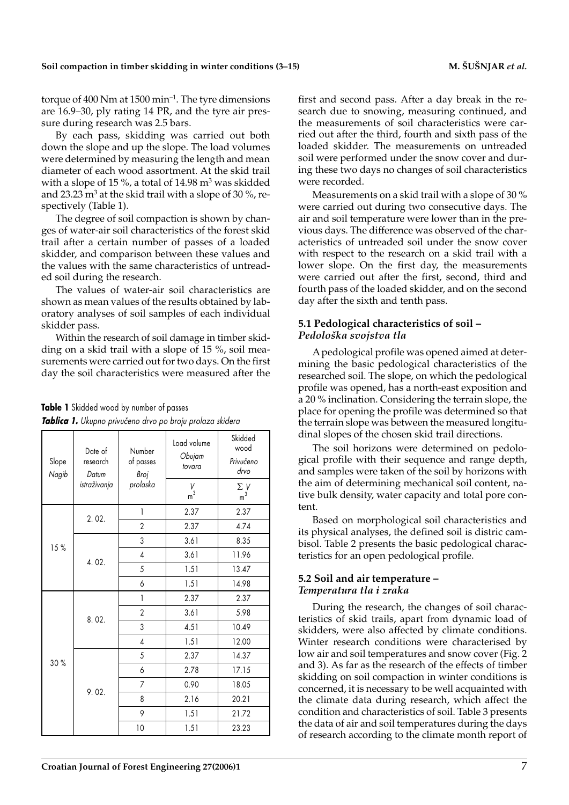torque of  $400$  Nm at  $1500$  min<sup>-1</sup>. The tyre dimensions are 16.9–30, ply rating 14 PR, and the tyre air pressure during research was 2.5 bars.

By each pass, skidding was carried out both down the slope and up the slope. The load volumes were determined by measuring the length and mean diameter of each wood assortment. At the skid trail with a slope of 15 %, a total of 14.98  $m<sup>3</sup>$  was skidded and 23.23  $m<sup>3</sup>$  at the skid trail with a slope of 30 %, respectively (Table 1).

The degree of soil compaction is shown by changes of water-air soil characteristics of the forest skid trail after a certain number of passes of a loaded skidder, and comparison between these values and the values with the same characteristics of untreaded soil during the research.

The values of water-air soil characteristics are shown as mean values of the results obtained by laboratory analyses of soil samples of each individual skidder pass.

Within the research of soil damage in timber skidding on a skid trail with a slope of 15 %, soil measurements were carried out for two days. On the first day the soil characteristics were measured after the

|       |              |                | Load volume      | Skidded                   |  |  |
|-------|--------------|----------------|------------------|---------------------------|--|--|
|       | Date of      | Number         |                  | wood<br>Privučeno<br>drvo |  |  |
| Slope | research     | of passes      | Obujam<br>tovara |                           |  |  |
| Nagib | Datum        | Broj           |                  |                           |  |  |
|       | istraživanja | prolaska       | V                | $\Sigma$ $V$              |  |  |
|       |              |                | $\mathsf{m}^3$   | $\mathsf{m}^3$            |  |  |
|       | 1<br>2.02.   | 2.37           | 2.37             |                           |  |  |
|       |              | 2              | 2.37             | 4.74                      |  |  |
|       |              | 3              | 8.35             |                           |  |  |
| 15%   | 4.02.        | $\overline{4}$ | 3.61             | 11.96                     |  |  |
|       |              | 5              | 1.51             | 13.47                     |  |  |
|       |              | 6              | 1.51             | 14.98                     |  |  |
|       |              | 1              | 2.37             | 2.37                      |  |  |
|       | 8.02.        | $\overline{2}$ | 3.61             | 5.98                      |  |  |
|       |              | 3              | 4.51             | 10.49                     |  |  |
|       |              | $\overline{4}$ | 1.51             | 12.00                     |  |  |
| 30 %  |              | 5              | 2.37             | 14.37                     |  |  |
|       |              | 6              | 2.78             | 17.15                     |  |  |
|       | 9.02.        | 7              | 0.90             | 18.05                     |  |  |
|       |              | 8              | 2.16             | 20.21                     |  |  |
|       |              | 9              | 1.51             | 21.72                     |  |  |
|       |              | 10             | 1.51             | 23.23                     |  |  |

**Table 1** Skidded wood by number of passes **Tablica 1.** Ukupno privučeno drvo po broju prolaza skidera first and second pass. After a day break in the research due to snowing, measuring continued, and the measurements of soil characteristics were carried out after the third, fourth and sixth pass of the loaded skidder. The measurements on untreaded soil were performed under the snow cover and during these two days no changes of soil characteristics were recorded.

Measurements on a skid trail with a slope of 30 % were carried out during two consecutive days. The air and soil temperature were lower than in the previous days. The difference was observed of the characteristics of untreaded soil under the snow cover with respect to the research on a skid trail with a lower slope. On the first day, the measurements were carried out after the first, second, third and fourth pass of the loaded skidder, and on the second day after the sixth and tenth pass.

#### **5.1 Pedological characteristics of soil –** *Pedolo{ka svojstva tla*

A pedological profile was opened aimed at determining the basic pedological characteristics of the researched soil. The slope, on which the pedological profile was opened, has a north-east exposition and a 20 % inclination. Considering the terrain slope, the place for opening the profile was determined so that the terrain slope was between the measured longitudinal slopes of the chosen skid trail directions.

The soil horizons were determined on pedological profile with their sequence and range depth, and samples were taken of the soil by horizons with the aim of determining mechanical soil content, native bulk density, water capacity and total pore content.

Based on morphological soil characteristics and its physical analyses, the defined soil is distric cambisol. Table 2 presents the basic pedological characteristics for an open pedological profile.

#### **5.2 Soil and air temperature –** *Temperatura tla i zraka*

During the research, the changes of soil characteristics of skid trails, apart from dynamic load of skidders, were also affected by climate conditions. Winter research conditions were characterised by low air and soil temperatures and snow cover (Fig. 2 and 3). As far as the research of the effects of timber skidding on soil compaction in winter conditions is concerned, it is necessary to be well acquainted with the climate data during research, which affect the condition and characteristics of soil. Table 3 presents the data of air and soil temperatures during the days of research according to the climate month report of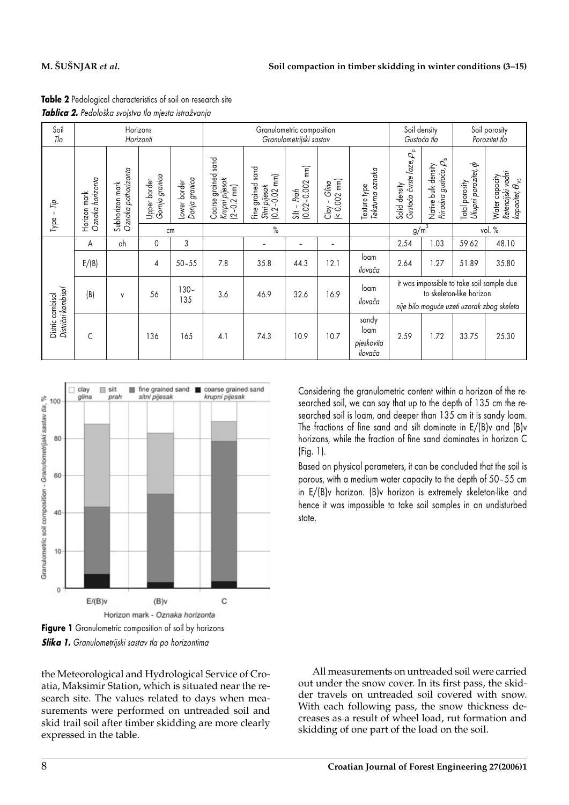| Soil<br>Tlo                            |                                                                            |    | Horizons<br>Horizonti          |                               |                                                                            | Soil density<br>Gustoća tla                                   |                                                                    | Soil porosity<br>Porozitet tla  |                                        |                                                                                                                     |                                                         |                                            |                                                                   |  |
|----------------------------------------|----------------------------------------------------------------------------|----|--------------------------------|-------------------------------|----------------------------------------------------------------------------|---------------------------------------------------------------|--------------------------------------------------------------------|---------------------------------|----------------------------------------|---------------------------------------------------------------------------------------------------------------------|---------------------------------------------------------|--------------------------------------------|-------------------------------------------------------------------|--|
| Γiρ<br>$\mathbf{I}$<br>Type            | Oznaka pothorizonta<br>Oznaka horizonta<br>Subhorizon mark<br>Horizon mark |    | Gornja granica<br>Upper border | Donja granica<br>Lower border | Coarse grained sand<br>Krupni pijesak<br>(2-0.2 mm)<br>$\overline{\rm{m}}$ | sand<br>$(0.2 - 0.02$ mm)<br>grained<br>Sitni pijesak<br>Fine | $\overline{mn}$<br>$[0.02 - 0.002]$<br>Prah<br>$\blacksquare$<br>ま | $(< 0.002$ mm)<br>Glina<br>Clay | Teksturna oznaka<br>Texture type       | Gustoća čvrste faze, $\rho_{_{\rm p}}$<br>Solid density                                                             | Prirodna gustoća, P <sub>b</sub><br>Native bulk density | Ukupni porozitet, $\phi$<br>Total porosity | Retencijski vodni<br>kapacitet, O <sub>vs</sub><br>Water capacity |  |
|                                        |                                                                            |    |                                | cm                            | $\%$                                                                       |                                                               |                                                                    |                                 |                                        |                                                                                                                     | $g/m^3$                                                 | vol. %                                     |                                                                   |  |
| Distrični kambisol<br>Distric cambisol | A                                                                          | oh | $\mathbf 0$                    | 3                             |                                                                            |                                                               | $\overline{a}$                                                     | $\overline{\phantom{0}}$        |                                        | 2.54                                                                                                                | 1.03                                                    | 59.62                                      | 48.10                                                             |  |
|                                        | E/(B)                                                                      |    | 4                              | $50 - 55$                     | 7.8                                                                        | 35.8                                                          | 44.3                                                               | 12.1                            | loam<br>ilovača                        | 2.64                                                                                                                | 1.27                                                    | 51.89                                      | 35.80                                                             |  |
|                                        | (B)                                                                        | V  | 56                             | 130-<br>135                   | 3.6                                                                        | 46.9                                                          | 32.6                                                               | 16.9                            | loam<br>ilovača                        | it was impossible to take soil sample due<br>to skeleton-like horizon<br>nije bilo moguće uzeti uzorak zbog skeleta |                                                         |                                            |                                                                   |  |
|                                        | C                                                                          |    | 136                            | 165                           | 4.1                                                                        | 74.3                                                          | 10.9                                                               | 10.7                            | sandy<br>loam<br>pjeskovita<br>ilovača | 2.59                                                                                                                | 1.72                                                    | 33.75                                      | 25.30                                                             |  |

**Table 2** Pedological characteristics of soil on research site *Tablica 2. Pedolo{ka svojstva tla mjesta istra`vanja*



*Slika 1. Granulometrijski sastav tla po horizontima*

the Meteorological and Hydrological Service of Croatia, Maksimir Station, which is situated near the research site. The values related to days when measurements were performed on untreaded soil and skid trail soil after timber skidding are more clearly expressed in the table.

Considering the granulometric content within a horizon of the researched soil, we can say that up to the depth of 135 cm the researched soil is loam, and deeper than 135 cm it is sandy loam. The fractions of fine sand and silt dominate in E/(B)v and (B)v horizons, while the fraction of fine sand dominates in horizon C (Fig. 1).

Based on physical parameters, it can be concluded that the soil is porous, with a medium water capacity to the depth of 50–55 cm in E/(B)v horizon. (B)v horizon is extremely skeleton-like and hence it was impossible to take soil samples in an undisturbed state.

All measurements on untreaded soil were carried out under the snow cover. In its first pass, the skidder travels on untreaded soil covered with snow. With each following pass, the snow thickness decreases as a result of wheel load, rut formation and skidding of one part of the load on the soil.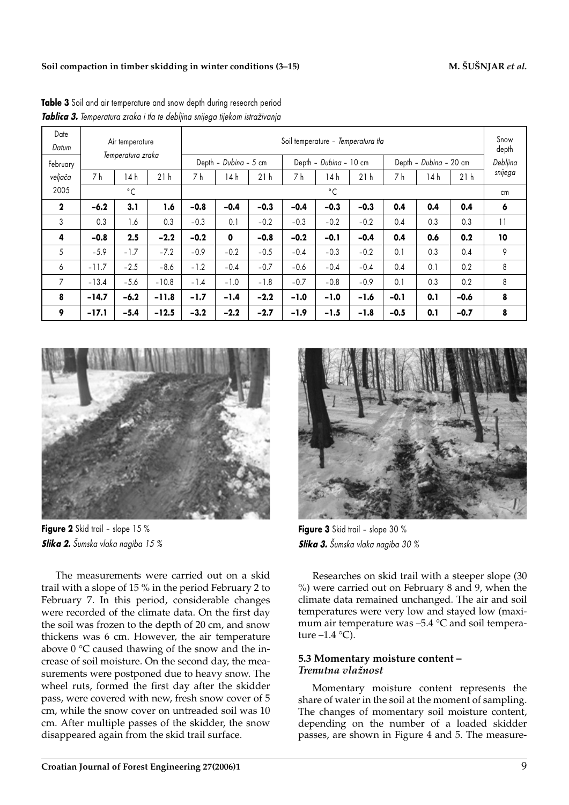| Date<br>Datum  |                   | Air temperature |         | Soil temperature - Temperatura tla |             |        |                        |        |        |                        |      |        | Snow<br>depth<br>Debljina |
|----------------|-------------------|-----------------|---------|------------------------------------|-------------|--------|------------------------|--------|--------|------------------------|------|--------|---------------------------|
| February       | Temperatura zraka |                 |         | Depth - Dubina - 5 cm              |             |        | Depth - Dubina - 10 cm |        |        | Depth - Dubina - 20 cm |      |        |                           |
| veljača        | 7 h               | 14 h            | 21h     | 7 h                                | 14 h        | 21h    | 7 h                    | 14 h   | 21h    | 7 h                    | 14 h | 21h    | snijega                   |
| 2005           |                   | $^{\circ}$ C    |         | $^{\circ}$ C                       |             |        |                        |        |        |                        |      |        | cm                        |
| $\mathbf 2$    | $-6.2$            | 3.1             | 1.6     | $-0.8$                             | $-0.4$      | $-0.3$ | $-0.4$                 | $-0.3$ | $-0.3$ | 0.4                    | 0.4  | 0.4    | 6                         |
| 3              | 0.3               | 1.6             | 0.3     | $-0.3$                             | 0.1         | $-0.2$ | $-0.3$                 | $-0.2$ | $-0.2$ | 0.4                    | 0.3  | 0.3    | 11                        |
| 4              | $-0.8$            | 2.5             | $-2.2$  | $-0.2$                             | $\mathbf 0$ | $-0.8$ | $-0.2$                 | $-0.1$ | $-0.4$ | 0.4                    | 0.6  | 0.2    | 10                        |
| 5              | $-5.9$            | $-1.7$          | $-7.2$  | $-0.9$                             | $-0.2$      | $-0.5$ | $-0.4$                 | $-0.3$ | $-0.2$ | 0.1                    | 0.3  | 0.4    | 9                         |
| 6              | $-11.7$           | $-2.5$          | $-8.6$  | $-1.2$                             | $-0.4$      | $-0.7$ | $-0.6$                 | $-0.4$ | $-0.4$ | 0.4                    | 0.1  | 0.2    | 8                         |
| $\overline{7}$ | $-13.4$           | $-5.6$          | $-10.8$ | $-1.4$                             | $-1.0$      | $-1.8$ | $-0.7$                 | $-0.8$ | $-0.9$ | 0.1                    | 0.3  | 0.2    | 8                         |
| 8              | $-14.7$           | $-6.2$          | $-11.8$ | $-1.7$                             | $-1.4$      | $-2.2$ | $-1.0$                 | $-1.0$ | $-1.6$ | $-0.1$                 | 0.1  | $-0.6$ | 8                         |
| 9              | $-17.1$           | $-5.4$          | $-12.5$ | $-3.2$                             | $-2.2$      | $-2.7$ | $-1.9$                 | $-1.5$ | $-1.8$ | $-0.5$                 | 0.1  | $-0.7$ | 8                         |

**Table 3** Soil and air temperature and snow depth during research period *Tablica 3. Temperatura zraka i tla te debljina snijega tijekom istra`ivanja*



**Figure 2** Skid trail - slope 15 % *Slika 2. [umska vlaka nagiba 15 %*

The measurements were carried out on a skid trail with a slope of 15 % in the period February 2 to February 7. In this period, considerable changes were recorded of the climate data. On the first day the soil was frozen to the depth of 20 cm, and snow thickens was 6 cm. However, the air temperature above 0 °C caused thawing of the snow and the increase of soil moisture. On the second day, the measurements were postponed due to heavy snow. The wheel ruts, formed the first day after the skidder pass, were covered with new, fresh snow cover of 5 cm, while the snow cover on untreaded soil was 10 cm. After multiple passes of the skidder, the snow disappeared again from the skid trail surface.



**Figure 3** Skid trail – slope 30 % *Slika 3. [umska vlaka nagiba 30 %*

Researches on skid trail with a steeper slope (30 %) were carried out on February 8 and 9, when the climate data remained unchanged. The air and soil temperatures were very low and stayed low (maximum air temperature was –5.4 °C and soil temperature  $-1.4$  °C).

### **5.3 Momentary moisture content –** *Trenutna vla`nost*

Momentary moisture content represents the share of water in the soil at the moment of sampling. The changes of momentary soil moisture content, depending on the number of a loaded skidder passes, are shown in Figure 4 and 5. The measure-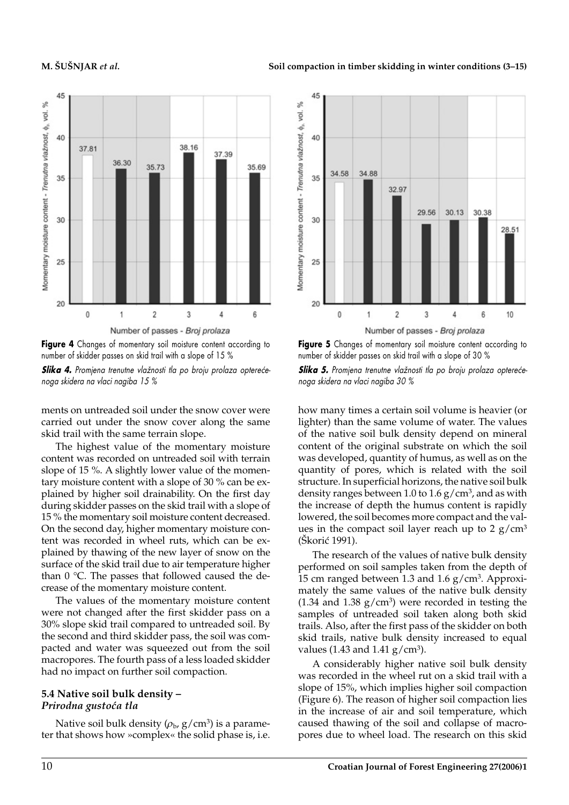

Figure 4 Changes of momentary soil moisture content according to number of skidder passes on skid trail with a slope of 15 %

Slika 4. Promjena trenutne vlažnosti tla po broju prolaza optereće*noga skidera na vlaci nagiba 15 %*

ments on untreaded soil under the snow cover were carried out under the snow cover along the same skid trail with the same terrain slope.

The highest value of the momentary moisture content was recorded on untreaded soil with terrain slope of 15 %. A slightly lower value of the momentary moisture content with a slope of 30 % can be explained by higher soil drainability. On the first day during skidder passes on the skid trail with a slope of 15 % the momentary soil moisture content decreased. On the second day, higher momentary moisture content was recorded in wheel ruts, which can be explained by thawing of the new layer of snow on the surface of the skid trail due to air temperature higher than  $0^{\circ}$ C. The passes that followed caused the decrease of the momentary moisture content.

The values of the momentary moisture content were not changed after the first skidder pass on a 30% slope skid trail compared to untreaded soil. By the second and third skidder pass, the soil was compacted and water was squeezed out from the soil macropores. The fourth pass of a less loaded skidder had no impact on further soil compaction.

#### **5.4 Native soil bulk density –** *Prirodna gusto}a tla*

Native soil bulk density  $(\rho_{\rm b}, g/cm^3)$  is a parameter that shows how »complex« the solid phase is, i.e.



Figure 5 Changes of momentary soil moisture content according to number of skidder passes on skid trail with a slope of 30 %

Slika 5. Promjena trenutne vlažnosti tla po broju prolaza optereće*noga skidera na vlaci nagiba 30 %*

how many times a certain soil volume is heavier (or lighter) than the same volume of water. The values of the native soil bulk density depend on mineral content of the original substrate on which the soil was developed, quantity of humus, as well as on the quantity of pores, which is related with the soil structure. In superficial horizons, the native soil bulk density ranges between 1.0 to 1.6  $g/cm<sup>3</sup>$ , and as with the increase of depth the humus content is rapidly lowered, the soil becomes more compact and the values in the compact soil layer reach up to 2  $g/cm<sup>3</sup>$ (Škorić 1991).

The research of the values of native bulk density performed on soil samples taken from the depth of 15 cm ranged between 1.3 and 1.6  $g/cm^3$ . Approximately the same values of the native bulk density  $(1.34$  and  $1.38$  g/cm<sup>3</sup>) were recorded in testing the samples of untreaded soil taken along both skid trails. Also, after the first pass of the skidder on both skid trails, native bulk density increased to equal values (1.43 and 1.41  $g/cm<sup>3</sup>$ ).

A considerably higher native soil bulk density was recorded in the wheel rut on a skid trail with a slope of 15%, which implies higher soil compaction (Figure 6). The reason of higher soil compaction lies in the increase of air and soil temperature, which caused thawing of the soil and collapse of macropores due to wheel load. The research on this skid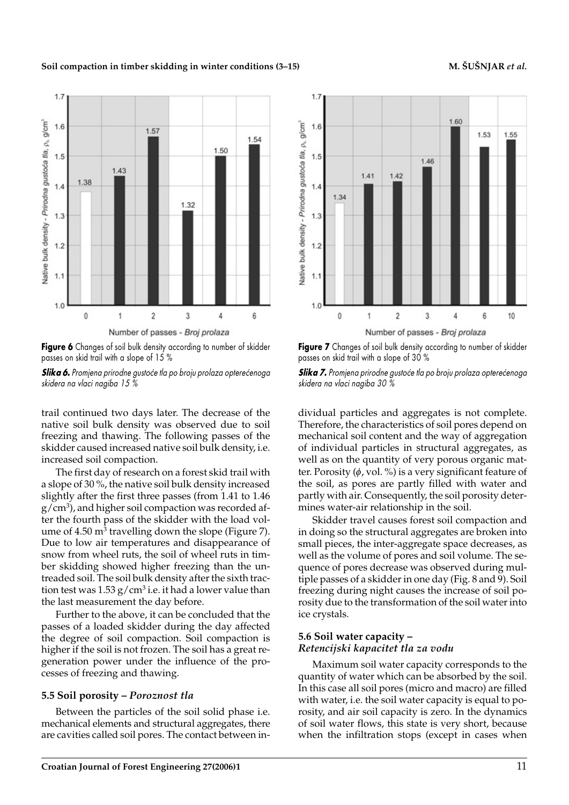

Figure 6 Changes of soil bulk density according to number of skidder passes on skid trail with a slope of 15 %

**Slika 6.** Promjena prirodne gustoće tla po broju prolaza opterećenoga *skidera na vlaci nagiba 15 %*

trail continued two days later. The decrease of the native soil bulk density was observed due to soil freezing and thawing. The following passes of the skidder caused increased native soil bulk density, i.e. increased soil compaction.

The first day of research on a forest skid trail with a slope of 30 %, the native soil bulk density increased slightly after the first three passes (from 1.41 to 1.46  $g/cm<sup>3</sup>$ , and higher soil compaction was recorded after the fourth pass of the skidder with the load volume of  $4.50 \text{ m}^3$  travelling down the slope (Figure 7). Due to low air temperatures and disappearance of snow from wheel ruts, the soil of wheel ruts in timber skidding showed higher freezing than the untreaded soil. The soil bulk density after the sixth traction test was  $1.53$  g/cm<sup>3</sup> i.e. it had a lower value than the last measurement the day before.

Further to the above, it can be concluded that the passes of a loaded skidder during the day affected the degree of soil compaction. Soil compaction is higher if the soil is not frozen. The soil has a great regeneration power under the influence of the processes of freezing and thawing.

#### **5.5 Soil porosity –** *Poroznost tla*

Between the particles of the soil solid phase i.e. mechanical elements and structural aggregates, there are cavities called soil pores. The contact between in-



Figure 7 Changes of soil bulk density according to number of skidder passes on skid trail with a slope of 30 %

**Slika 7.** Promjena prirodne gustoće tla po broju prolaza opterećenoga *skidera na vlaci nagiba 30 %*

dividual particles and aggregates is not complete. Therefore, the characteristics of soil pores depend on mechanical soil content and the way of aggregation of individual particles in structural aggregates, as well as on the quantity of very porous organic matter. Porosity  $(\phi, \text{vol. } \%)$  is a very significant feature of the soil, as pores are partly filled with water and partly with air. Consequently, the soil porosity determines water-air relationship in the soil.

Skidder travel causes forest soil compaction and in doing so the structural aggregates are broken into small pieces, the inter-aggregate space decreases, as well as the volume of pores and soil volume. The sequence of pores decrease was observed during multiple passes of a skidder in one day (Fig. 8 and 9). Soil freezing during night causes the increase of soil porosity due to the transformation of the soil water into ice crystals.

#### **5.6 Soil water capacity –** *Retencijski kapacitet tla za vodu*

Maximum soil water capacity corresponds to the quantity of water which can be absorbed by the soil. In this case all soil pores (micro and macro) are filled with water, i.e. the soil water capacity is equal to porosity, and air soil capacity is zero. In the dynamics of soil water flows, this state is very short, because when the infiltration stops (except in cases when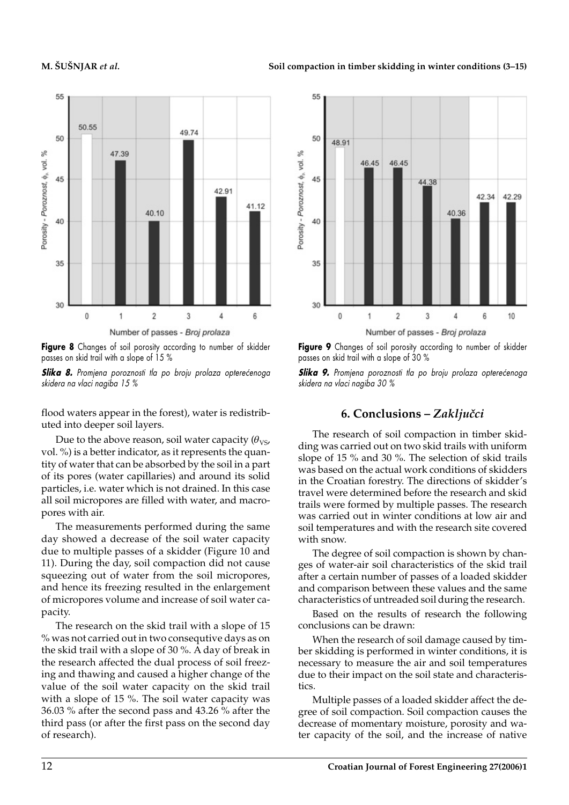

Fiaure 8 Changes of soil porosity according to number of skidder passes on skid trail with a slope of 15 %

**Slika 8.** Promjena poroznosti tla po broju prolaza opterećenoga *skidera na vlaci nagiba 15 %*

flood waters appear in the forest), water is redistributed into deeper soil layers.

Due to the above reason, soil water capacity  $(\theta_{VS}$ , vol. %) is a better indicator, as it represents the quantity of water that can be absorbed by the soil in a part of its pores (water capillaries) and around its solid particles, i.e. water which is not drained. In this case all soil micropores are filled with water, and macropores with air.

The measurements performed during the same day showed a decrease of the soil water capacity due to multiple passes of a skidder (Figure 10 and 11). During the day, soil compaction did not cause squeezing out of water from the soil micropores, and hence its freezing resulted in the enlargement of micropores volume and increase of soil water capacity.

The research on the skid trail with a slope of 15 % was not carried out in two consequtive days as on the skid trail with a slope of 30 %. A day of break in the research affected the dual process of soil freezing and thawing and caused a higher change of the value of the soil water capacity on the skid trail with a slope of 15 %. The soil water capacity was 36.03 % after the second pass and 43.26 % after the third pass (or after the first pass on the second day of research).



Fiaure 9 Changes of soil porosity according to number of skidder passes on skid trail with a slope of 30 %

**Slika 9.** Promjena poroznosti tla po broju prolaza opterećenoga *skidera na vlaci nagiba 30 %*

## 6. Conclusions – Zaključci

The research of soil compaction in timber skidding was carried out on two skid trails with uniform slope of 15 % and 30 %. The selection of skid trails was based on the actual work conditions of skidders in the Croatian forestry. The directions of skidder's travel were determined before the research and skid trails were formed by multiple passes. The research was carried out in winter conditions at low air and soil temperatures and with the research site covered with snow.

The degree of soil compaction is shown by changes of water-air soil characteristics of the skid trail after a certain number of passes of a loaded skidder and comparison between these values and the same characteristics of untreaded soil during the research.

Based on the results of research the following conclusions can be drawn:

When the research of soil damage caused by timber skidding is performed in winter conditions, it is necessary to measure the air and soil temperatures due to their impact on the soil state and characteristics.

Multiple passes of a loaded skidder affect the degree of soil compaction. Soil compaction causes the decrease of momentary moisture, porosity and water capacity of the soil, and the increase of native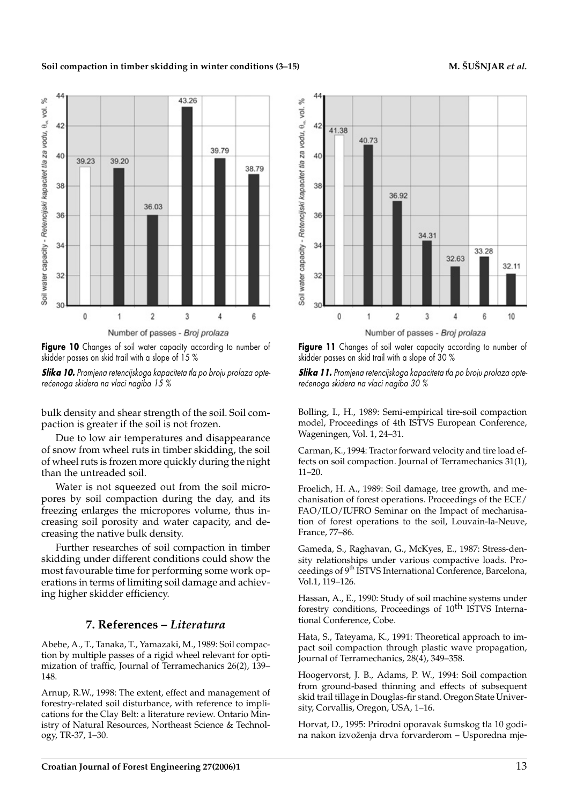

Figure 10 Changes of soil water capacity according to number of skidder passes on skid trail with a slope of 15 %

*Slika 10.Promjena retencijskoga kapaciteta tla po broju prolaza optere}enoga skidera na vlaci nagiba 15 %*

bulk density and shear strength of the soil. Soil compaction is greater if the soil is not frozen.

Due to low air temperatures and disappearance of snow from wheel ruts in timber skidding, the soil of wheel ruts is frozen more quickly during the night than the untreaded soil.

Water is not squeezed out from the soil micropores by soil compaction during the day, and its freezing enlarges the micropores volume, thus increasing soil porosity and water capacity, and decreasing the native bulk density.

Further researches of soil compaction in timber skidding under different conditions could show the most favourable time for performing some work operations in terms of limiting soil damage and achieving higher skidder efficiency.

## **7. References –** *Literatura*

Abebe, A., T., Tanaka, T., Yamazaki, M., 1989: Soil compaction by multiple passes of a rigid wheel relevant for optimization of traffic, Journal of Terramechanics 26(2), 139– 148.

Arnup, R.W., 1998: The extent, effect and management of forestry-related soil disturbance, with reference to implications for the Clay Belt: a literature review. Ontario Ministry of Natural Resources, Northeast Science & Technology, TR-37, 1–30.



Figure 11 Changes of soil water capacity according to number of skidder passes on skid trail with a slope of 30 %

*Slika 11.Promjena retencijskoga kapaciteta tla po broju prolaza optere}enoga skidera na vlaci nagiba 30 %*

Bolling, I., H., 1989: Semi-empirical tire-soil compaction model, Proceedings of 4th ISTVS European Conference, Wageningen, Vol. 1, 24–31.

Carman, K., 1994: Tractor forward velocity and tire load effects on soil compaction. Journal of Terramechanics 31(1), 11–20.

Froelich, H. A., 1989: Soil damage, tree growth, and mechanisation of forest operations. Proceedings of the ECE/ FAO/ILO/IUFRO Seminar on the Impact of mechanisation of forest operations to the soil, Louvain-la-Neuve, France, 77–86.

Gameda, S., Raghavan, G., McKyes, E., 1987: Stress-density relationships under various compactive loads. Proceedings of 9<sup>th</sup> ISTVS International Conference, Barcelona, Vol.1, 119–126.

Hassan, A., E., 1990: Study of soil machine systems under forestry conditions, Proceedings of 10th ISTVS International Conference, Cobe.

Hata, S., Tateyama, K., 1991: Theoretical approach to impact soil compaction through plastic wave propagation, Journal of Terramechanics, 28(4), 349–358.

Hoogervorst, J. B., Adams, P. W., 1994: Soil compaction from ground-based thinning and effects of subsequent skid trail tillage in Douglas-fir stand. Oregon State University, Corvallis, Oregon, USA, 1–16.

Horvat, D., 1995: Prirodni oporavak šumskog tla 10 godina nakon izvoženja drva forvarderom - Usporedna mje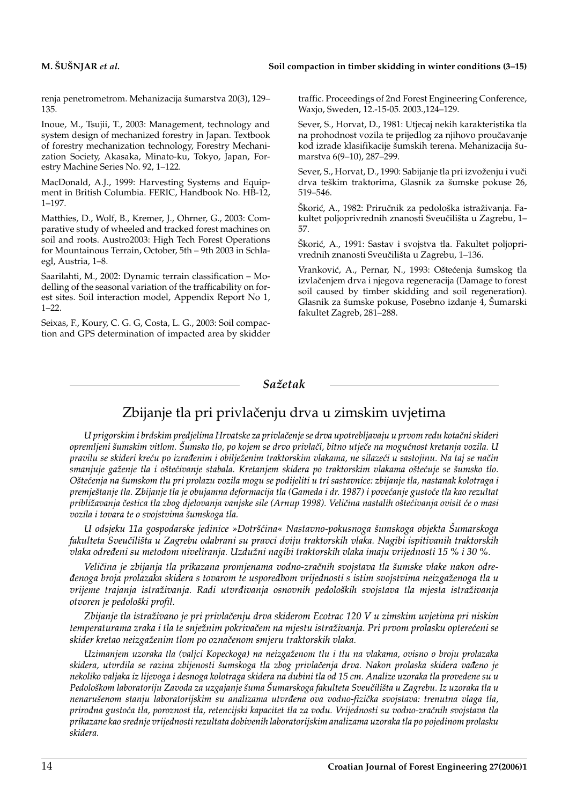renja penetrometrom. Mehanizacija šumarstva 20(3), 129-135.

Inoue, M., Tsujii, T., 2003: Management, technology and system design of mechanized forestry in Japan. Textbook of forestry mechanization technology, Forestry Mechanization Society, Akasaka, Minato-ku, Tokyo, Japan, Forestry Machine Series No. 92, 1–122.

MacDonald, A.J., 1999: Harvesting Systems and Equipment in British Columbia. FERIC, Handbook No. HB-12, 1–197.

Matthies, D., Wolf, B., Kremer, J., Ohrner, G., 2003: Comparative study of wheeled and tracked forest machines on soil and roots. Austro2003: High Tech Forest Operations for Mountainous Terrain, October, 5th – 9th 2003 in Schlaegl, Austria, 1–8.

Saarilahti, M., 2002: Dynamic terrain classification – Modelling of the seasonal variation of the trafficability on forest sites. Soil interaction model, Appendix Report No 1, 1–22.

Seixas, F., Koury, C. G. G, Costa, L. G., 2003: Soil compaction and GPS determination of impacted area by skidder

traffic. Proceedings of 2nd Forest Engineering Conference, Waxjo, Sweden, 12.-15-05. 2003.,124–129.

Sever, S., Horvat, D., 1981: Utjecaj nekih karakteristika tla na prohodnost vozila te prijedlog za njihovo proučavanje kod izrade klasifikacije šumskih terena. Mehanizacija šumarstva 6(9–10), 287–299.

Sever, S., Horvat, D., 1990: Sabijanje tla pri izvoženju i vuči drva teškim traktorima, Glasnik za šumske pokuse 26, 519–546.

Škorić, A., 1982: Priručnik za pedološka istraživanja. Fakultet poljoprivrednih znanosti Sveučilišta u Zagrebu, 1-57.

Škorić, A., 1991: Sastav i svojstva tla. Fakultet poljoprivrednih znanosti Sveučilišta u Zagrebu, 1-136.

Vranković, A., Pernar, N., 1993: Oštećenja šumskog tla izvlačenjem drva i njegova regeneracija (Damage to forest soil caused by timber skidding and soil regeneration). Glasnik za šumske pokuse, Posebno izdanje 4, Šumarski fakultet Zagreb, 281–288.

## *Sa`etak*

# Zbijanje tla pri privlačenju drva u zimskim uvjetima

*U prigorskim i brdskim predjelima Hrvatske za privla~enje se drva upotrebljavaju u prvom redu kota~ni skideri opremljeni {umskim vitlom. [umsko tlo, po kojem se drvo privla~i, bitno utje~e na mogu}nost kretanja vozila. U pravilu se skideri kreću po izrađenim i obilježenim traktorskim vlakama, ne silazeći u sastojinu. Na taj se način smanjuje ga`enje tla i o{te}ivanje stabala. Kretanjem skidera po traktorskim vlakama o{te}uje se {umsko tlo. O{te}enja na {umskom tlu pri prolazu vozila mogu se podijeliti u tri sastavnice: zbijanje tla, nastanak kolotraga i premještanje tla. Zbijanje tla je obujamna deformacija tla (Gameda i dr. 1987) i povećanje gustoće tla kao rezultat pribli`avanja ~estica tla zbog djelovanja vanjske sile (Arnup 1998). Veli~ina nastalih o{te}ivanja ovisit }e o masi vozila i tovara te o svojstvima {umskoga tla.*

*U odsjeku 11a gospodarske jedinice »Dotr{}ina« Nastavno-pokusnoga {umskoga objekta [umarskoga fakulteta Sveu~ili{ta u Zagrebu odabrani su pravci dviju traktorskih vlaka. Nagibi ispitivanih traktorskih vlaka odre|eni su metodom niveliranja. Uzdu`ni nagibi traktorskih vlaka imaju vrijednosti 15 % i 30 %.*

*Veli~ina je zbijanja tla prikazana promjenama vodno-zra~nih svojstava tla {umske vlake nakon odre- |enoga broja prolazaka skidera s tovarom te usporedbom vrijednosti s istim svojstvima neizga`enoga tla u vrijeme trajanja istra`ivanja. Radi utvr|ivanja osnovnih pedolo{kih svojstava tla mjesta istra`ivanja otvoren je pedolo{ki profil.*

*Zbijanje tla istra`ivano je pri privla~enju drva skiderom Ecotrac 120 V u zimskim uvjetima pri niskim temperaturama zraka i tla te snje`nim pokriva~em na mjestu istra`ivanja. Pri prvom prolasku optere}eni se* skider kretao neizgaženim tlom po označenom smjeru traktorskih vlaka.

*Uzimanjem uzoraka tla (valjci Kopeckoga) na neizga`enom tlu i tlu na vlakama, ovisno o broju prolazaka skidera, utvrdila se razina zbijenosti {umskoga tla zbog privla~enja drva. Nakon prolaska skidera va|eno je nekoliko valjaka iz lijevoga i desnoga kolotraga skidera na dubini tla od 15 cm. Analize uzoraka tla provedene su u Pedolo{kom laboratoriju Zavoda za uzgajanje {uma [umarskoga fakulteta Sveu~ili{ta u Zagrebu. Iz uzoraka tla u* nenarušenom stanju laboratorijskim su analizama utvrđena ova vodno-fizička svojstava: trenutna vlaga tla, prirodna gustoća tla, poroznost tla, retencijski kapacitet tla za vodu. Vrijednosti su vodno-zračnih svojstava tla *prikazane kao srednje vrijednosti rezultata dobivenih laboratorijskim analizama uzoraka tla po pojedinom prolasku skidera.*